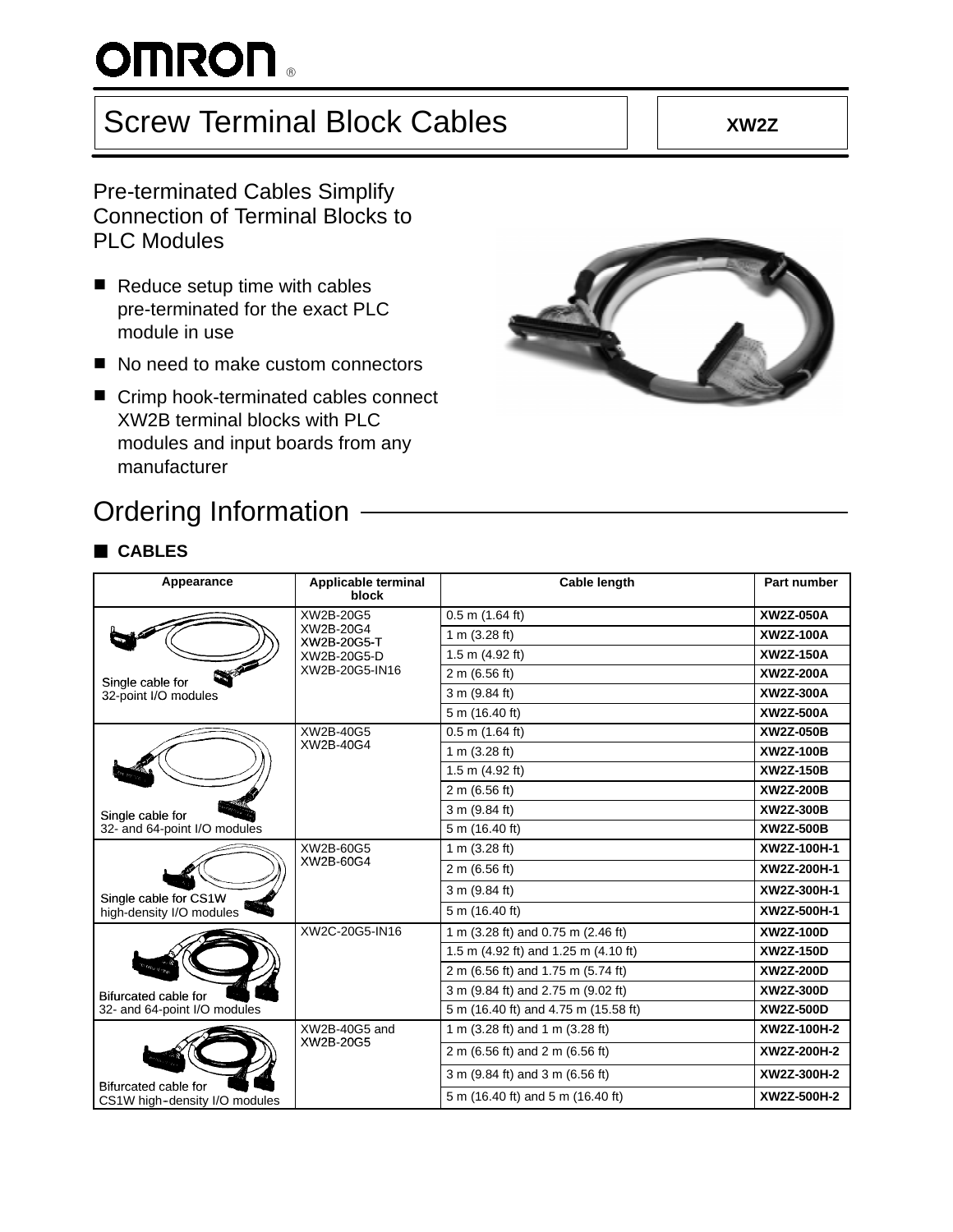# **OMRON**

# Screw Terminal Block Cables **XW2Z**

Pre-terminated Cables Simplify Connection of Terminal Blocks to PLC Modules

- $\blacksquare$  Reduce setup time with cables pre-terminated for the exact PLC module in use
- No need to make custom connectors
- Crimp hook-terminated cables connect XW2B terminal blocks with PLC modules and input boards from any manufacturer

# Ordering Information

## 3 **CABLES**

| Appearance                                            | Applicable terminal<br>block | Cable length                         | Part number |
|-------------------------------------------------------|------------------------------|--------------------------------------|-------------|
|                                                       | XW2B-20G5                    | $0.5$ m $(1.64$ ft)                  | XW2Z-050A   |
|                                                       | XW2B-20G4<br>XW2B-20G5-T     | 1 m $(3.28 ft)$                      | XW2Z-100A   |
|                                                       | XW2B-20G5-D                  | 1.5 m $(4.92 \text{ ft})$            | XW2Z-150A   |
| S<br>Single cable for                                 | XW2B-20G5-IN16               | 2 m (6.56 ft)                        | XW2Z-200A   |
| 32-point I/O modules                                  |                              | 3 m (9.84 ft)                        | XW2Z-300A   |
|                                                       |                              | 5 m (16.40 ft)                       | XW2Z-500A   |
|                                                       | XW2B-40G5                    | $0.5$ m $(1.64$ ft)                  | XW2Z-050B   |
|                                                       | XW2B-40G4                    | 1 m $(3.28 ft)$                      | XW2Z-100B   |
|                                                       |                              | 1.5 m $(4.92 \text{ ft})$            | XW2Z-150B   |
|                                                       |                              | 2 m (6.56 ft)                        | XW2Z-200B   |
| Single cable for                                      |                              | 3 m (9.84 ft)                        | XW2Z-300B   |
| 32- and 64-point I/O modules                          |                              | 5 m (16.40 ft)                       | XW2Z-500B   |
|                                                       | XW2B-60G5<br>XW2B-60G4       | 1 m $(3.28 \text{ ft})$              | XW2Z-100H-1 |
|                                                       |                              | 2 m (6.56 ft)                        | XW2Z-200H-1 |
| Single cable for CS1W                                 |                              | 3 m (9.84 ft)                        | XW2Z-300H-1 |
| high-density I/O modules                              |                              | 5 m (16.40 ft)                       | XW2Z-500H-1 |
|                                                       | XW2C-20G5-IN16               | 1 m (3.28 ft) and 0.75 m (2.46 ft)   | XW2Z-100D   |
|                                                       |                              | 1.5 m (4.92 ft) and 1.25 m (4.10 ft) | XW2Z-150D   |
|                                                       |                              | 2 m (6.56 ft) and 1.75 m (5.74 ft)   | XW2Z-200D   |
| Bifurcated cable for                                  |                              | 3 m (9.84 ft) and 2.75 m (9.02 ft)   | XW2Z-300D   |
| 32- and 64-point I/O modules                          |                              | 5 m (16.40 ft) and 4.75 m (15.58 ft) | XW2Z-500D   |
|                                                       | XW2B-40G5 and                | 1 m (3.28 ft) and 1 m (3.28 ft)      | XW2Z-100H-2 |
|                                                       | XW2B-20G5                    | 2 m (6.56 ft) and 2 m (6.56 ft)      | XW2Z-200H-2 |
|                                                       |                              | 3 m (9.84 ft) and 3 m (6.56 ft)      | XW2Z-300H-2 |
| Bifurcated cable for<br>CS1W high-density I/O modules |                              | 5 m (16.40 ft) and 5 m (16.40 ft)    | XW2Z-500H-2 |

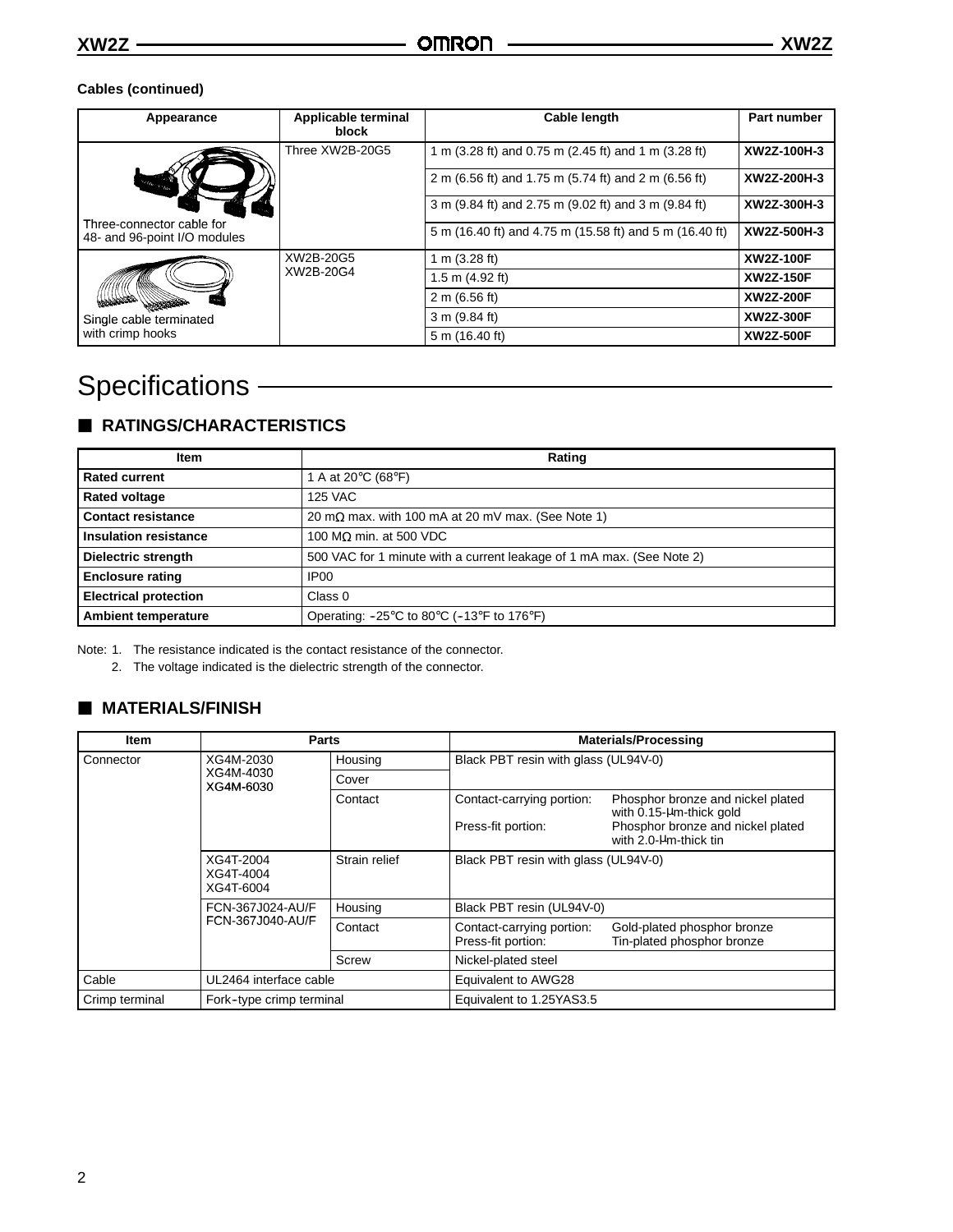#### **Cables (continued)**

| Appearance                                                | Applicable terminal<br>block | <b>Cable length</b>                                     | Part number      |
|-----------------------------------------------------------|------------------------------|---------------------------------------------------------|------------------|
|                                                           | Three XW2B-20G5              | 1 m (3.28 ft) and 0.75 m (2.45 ft) and 1 m (3.28 ft)    | XW2Z-100H-3      |
|                                                           |                              | 2 m (6.56 ft) and 1.75 m (5.74 ft) and 2 m (6.56 ft)    | XW2Z-200H-3      |
|                                                           |                              | 3 m (9.84 ft) and 2.75 m (9.02 ft) and 3 m (9.84 ft)    | XW2Z-300H-3      |
| Three-connector cable for<br>48- and 96-point I/O modules |                              | 5 m (16.40 ft) and 4.75 m (15.58 ft) and 5 m (16.40 ft) | XW2Z-500H-3      |
|                                                           | XW2B-20G5                    | 1 m $(3.28 \text{ ft})$                                 | <b>XW2Z-100F</b> |
|                                                           | XW2B-20G4                    | 1.5 m $(4.92 \text{ ft})$                               | <b>XW2Z-150F</b> |
|                                                           |                              | 2 m (6.56 ft)                                           | <b>XW2Z-200F</b> |
| Single cable terminated                                   |                              | 3 m (9.84 ft)                                           | XW2Z-300F        |
| with crimp hooks                                          |                              | 5 m (16.40 ft)                                          | <b>XW2Z-500F</b> |

# Specifications —

#### 3 **RATINGS/CHARACTERISTICS**

| <b>Item</b>                  | Rating                                                                               |
|------------------------------|--------------------------------------------------------------------------------------|
| <b>Rated current</b>         | 1 A at 20 $\degree$ C (68 $\degree$ F)                                               |
| <b>Rated voltage</b>         | 125 VAC                                                                              |
| <b>Contact resistance</b>    | 20 m $\Omega$ max. with 100 mA at 20 mV max. (See Note 1)                            |
| <b>Insulation resistance</b> | 100 M $\Omega$ min. at 500 VDC                                                       |
| <b>Dielectric strength</b>   | 500 VAC for 1 minute with a current leakage of 1 mA max. (See Note 2)                |
| <b>Enclosure rating</b>      | IP <sub>00</sub>                                                                     |
| <b>Electrical protection</b> | Class 0                                                                              |
| <b>Ambient temperature</b>   | Operating: $-25^{\circ}$ C to 80 $^{\circ}$ C ( $-13^{\circ}$ F to 176 $^{\circ}$ F) |

Note: 1. The resistance indicated is the contact resistance of the connector.

2. The voltage indicated is the dielectric strength of the connector.

#### 3 **MATERIALS/FINISH**

| <b>Item</b>    | <b>Parts</b>                        |                                                            | <b>Materials/Processing</b>          |                                                                       |
|----------------|-------------------------------------|------------------------------------------------------------|--------------------------------------|-----------------------------------------------------------------------|
| Connector      | XG4M-2030                           | Housing                                                    | Black PBT resin with glass (UL94V-0) |                                                                       |
|                | XG4M-4030<br>XG4M-6030              | Cover                                                      |                                      |                                                                       |
|                |                                     | Contact                                                    | Contact-carrying portion:            | Phosphor bronze and nickel plated<br>with $0.15$ - $\mu$ m-thick gold |
|                |                                     |                                                            | Press-fit portion:                   | Phosphor bronze and nickel plated<br>with 2.0-µm-thick tin            |
|                | XG4T-2004<br>XG4T-4004<br>XG4T-6004 | Strain relief                                              | Black PBT resin with glass (UL94V-0) |                                                                       |
|                | FCN-367J024-AU/F                    | Housing                                                    | Black PBT resin (UL94V-0)            |                                                                       |
|                | FCN-367J040-AU/F                    | Contact-carrying portion:<br>Contact<br>Press-fit portion: |                                      | Gold-plated phosphor bronze<br>Tin-plated phosphor bronze             |
|                |                                     | Screw                                                      | Nickel-plated steel                  |                                                                       |
| Cable          | UL2464 interface cable              |                                                            | Equivalent to AWG28                  |                                                                       |
| Crimp terminal | Fork-type crimp terminal            |                                                            | Equivalent to 1.25YAS3.5             |                                                                       |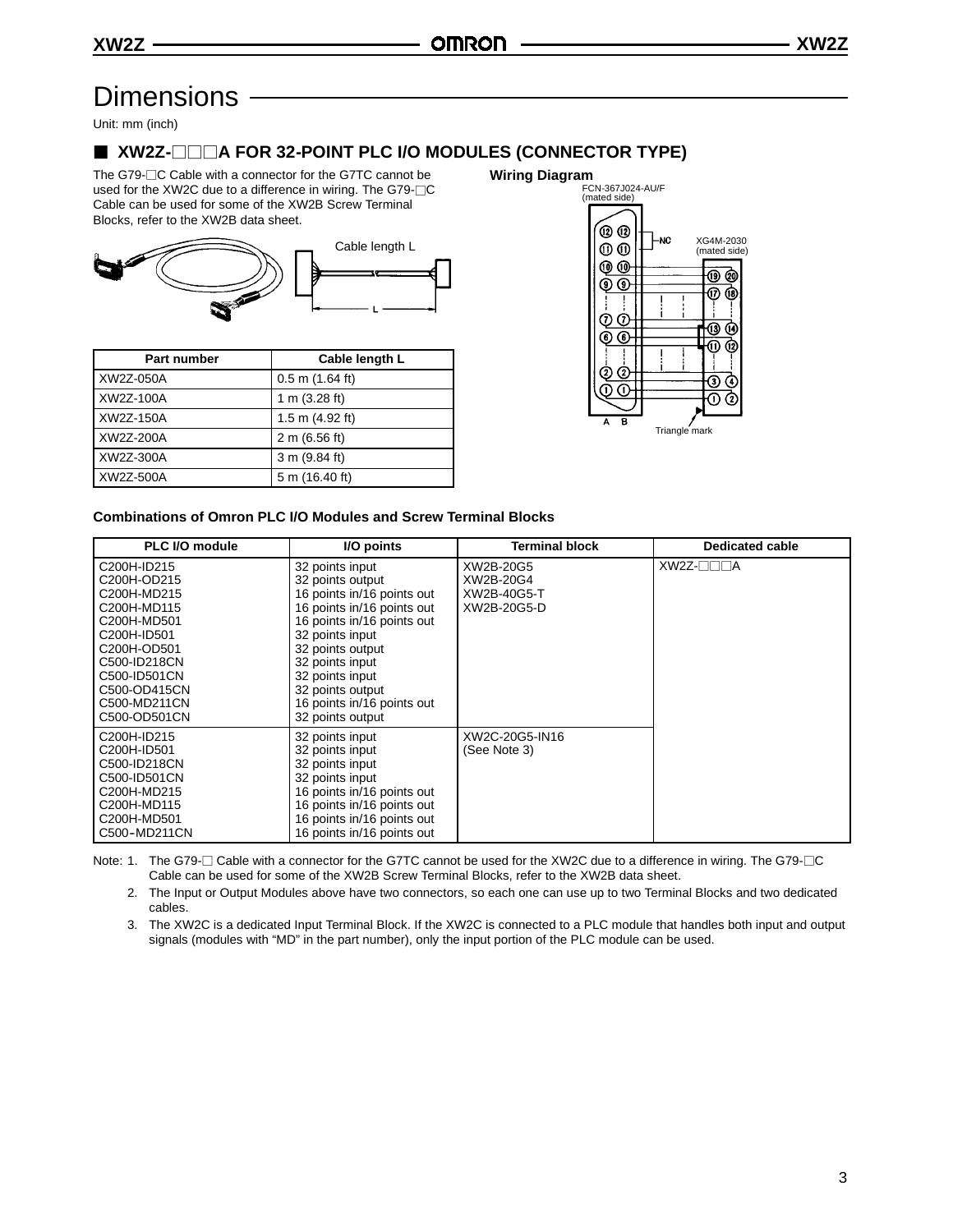# **Dimensions**

Unit: mm (inch)

#### ■ XW2Z-**<b>PRA FOR 32-POINT PLC I/O MODULES (CONNECTOR TYPE)**

The G79-□C Cable with a connector for the G7TC cannot be used for the XW2C due to a difference in wiring. The G79- $\Box$ C Cable can be used for some of the XW2B Screw Terminal Blocks, refer to the XW2B data sheet.



| Part number | Cable length L            |
|-------------|---------------------------|
| XW2Z-050A   | $0.5$ m $(1.64$ ft)       |
| XW2Z-100A   | 1 m $(3.28 \text{ ft})$   |
| XW2Z-150A   | 1.5 m $(4.92 \text{ ft})$ |
| XW2Z-200A   | 2 m (6.56 ft)             |
| XW2Z-300A   | 3 m (9.84 ft)             |
| XW2Z-500A   | 5 m (16.40 ft)            |



#### **Combinations of Omron PLC I/O Modules and Screw Terminal Blocks**

| PLC I/O module                                                                                                                                                                        | I/O points                                                                                                                                                                                                                                                                       | <b>Terminal block</b>                                | <b>Dedicated cable</b> |
|---------------------------------------------------------------------------------------------------------------------------------------------------------------------------------------|----------------------------------------------------------------------------------------------------------------------------------------------------------------------------------------------------------------------------------------------------------------------------------|------------------------------------------------------|------------------------|
| C200H-ID215<br>C200H-OD215<br>C200H-MD215<br>C200H-MD115<br>C200H-MD501<br>C200H-ID501<br>C200H-OD501<br>C500-ID218CN<br>C500-ID501CN<br>C500-OD415CN<br>C500-MD211CN<br>C500-OD501CN | 32 points input<br>32 points output<br>16 points in/16 points out<br>16 points in/16 points out<br>16 points in/16 points out<br>32 points input<br>32 points output<br>32 points input<br>32 points input<br>32 points output<br>16 points in/16 points out<br>32 points output | XW2B-20G5<br>XW2B-20G4<br>XW2B-40G5-T<br>XW2B-20G5-D | XW2Z-□□□A              |
| C200H-ID215<br>C200H-ID501<br>C500-ID218CN<br>C500-ID501CN<br>C200H-MD215<br>C200H-MD115<br>C200H-MD501<br>C500-MD211CN                                                               | 32 points input<br>32 points input<br>32 points input<br>32 points input<br>16 points in/16 points out<br>16 points in/16 points out<br>16 points in/16 points out<br>16 points in/16 points out                                                                                 | XW2C-20G5-IN16<br>(See Note 3)                       |                        |

Note: 1. The G79- $\Box$  Cable with a connector for the G7TC cannot be used for the XW2C due to a difference in wiring. The G79- $\Box$ C Cable can be used for some of the XW2B Screw Terminal Blocks, refer to the XW2B data sheet.

2. The Input or Output Modules above have two connectors, so each one can use up to two Terminal Blocks and two dedicated cables.

3. The XW2C is a dedicated Input Terminal Block. If the XW2C is connected to a PLC module that handles both input and output signals (modules with "MD" in the part number), only the input portion of the PLC module can be used.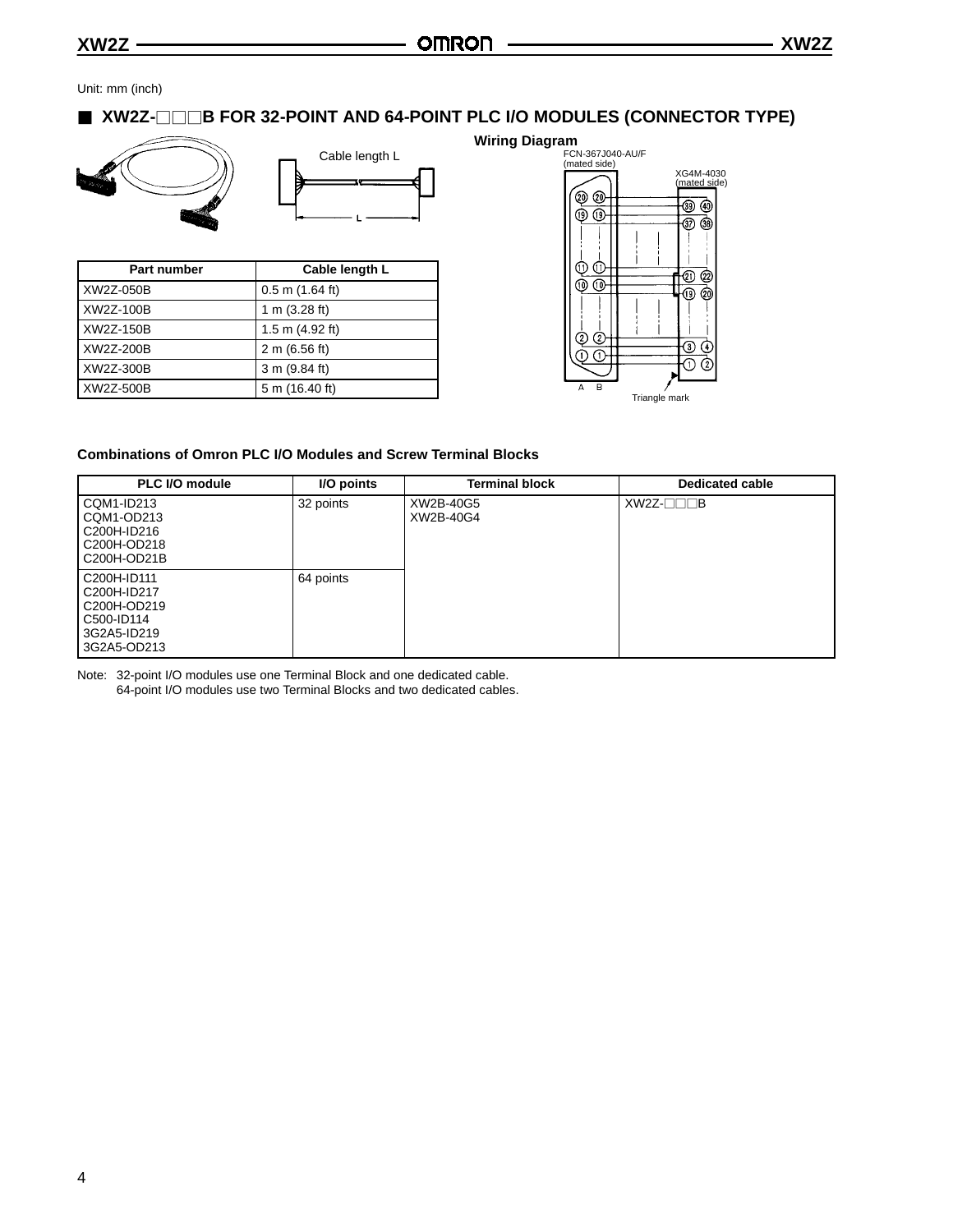Unit: mm (inch)

#### ■ XW2Z-**<b>PPP FOR 32-POINT AND 64-POINT PLC I/O MODULES (CONNECTOR TYPE)**





| <b>Part number</b> | Cable length L            |
|--------------------|---------------------------|
| XW2Z-050B          | $0.5$ m $(1.64$ ft)       |
| XW2Z-100B          | 1 m $(3.28 \text{ ft})$   |
| XW2Z-150B          | 1.5 m $(4.92 \text{ ft})$ |
| XW2Z-200B          | 2 m (6.56 ft)             |
| XW2Z-300B          | 3 m (9.84 ft)             |
| XW2Z-500B          | 5 m (16.40 ft)            |



#### **Combinations of Omron PLC I/O Modules and Screw Terminal Blocks**

| <b>PLC I/O module</b>                                                                                          | I/O points | <b>Terminal block</b>  | <b>Dedicated cable</b> |
|----------------------------------------------------------------------------------------------------------------|------------|------------------------|------------------------|
| CQM1-ID213<br>CQM1-OD213<br>C200H-ID216<br>C200H-OD218<br>C200H-OD21B                                          | 32 points  | XW2B-40G5<br>XW2B-40G4 | $XW2Z-TTTTB$           |
| C200H-ID111<br>C200H-ID217<br>C <sub>200</sub> H-OD <sub>219</sub><br>C500-ID114<br>3G2A5-ID219<br>3G2A5-OD213 | 64 points  |                        |                        |

Note: 32-point I/O modules use one Terminal Block and one dedicated cable. 64-point I/O modules use two Terminal Blocks and two dedicated cables.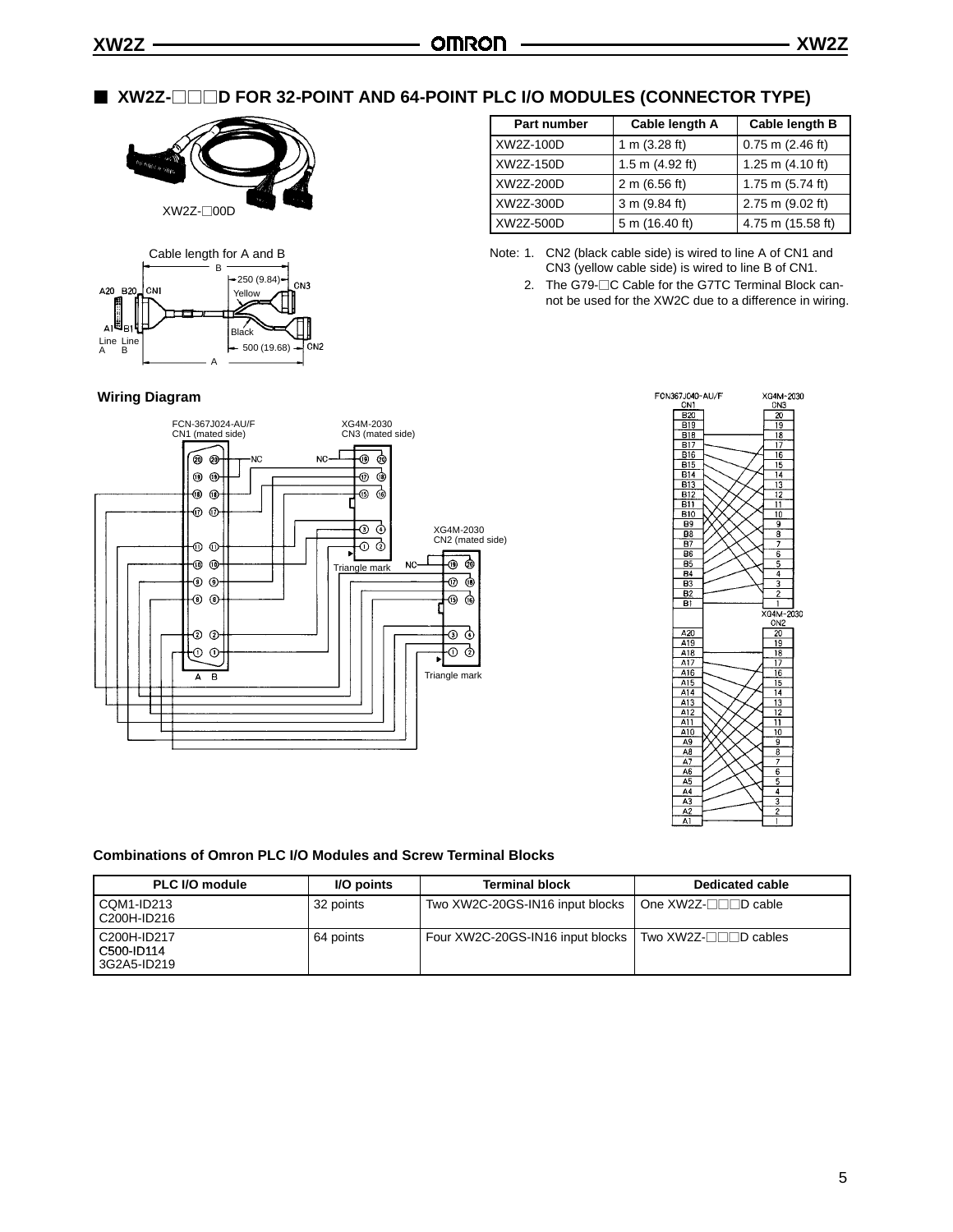#### ■ XW2Z-**<b>PPP FOR 32-POINT AND 64-POINT PLC I/O MODULES (CONNECTOR TYPE)**





#### **Part number Cable length A Cable length B** XW2Z-100D 1 m (3.28 ft) 0.75 m (2.46 ft)  $XW2Z-150D$  1.5 m (4.92 ft) 1.25 m (4.10 ft) XW2Z-200D 2 m (6.56 ft) 1.75 m (5.74 ft) XW2Z-300D 3 m (9.84 ft) 2.75 m (9.02 ft) XW2Z-500D 5 m (16.40 ft) 4.75 m (15.58 ft)

2. The G79-<sub>C</sub>C Cable for the G7TC Terminal Block cannot be used for the XW2C due to a difference in wiring.

### **Wiring Diagram**





#### **Combinations of Omron PLC I/O Modules and Screw Terminal Blocks**

| <b>PLC I/O module</b>                    | I/O points | <b>Terminal block</b>            | Dedicated cable      |
|------------------------------------------|------------|----------------------------------|----------------------|
| CQM1-ID213<br>C200H-ID216                | 32 points  | Two XW2C-20GS-IN16 input blocks  | One XW2Z-□□□D cable  |
| C200H-ID217<br>C500-ID114<br>3G2A5-ID219 | 64 points  | Four XW2C-20GS-IN16 input blocks | Two XW2Z-□□□D cables |

Note: 1. CN2 (black cable side) is wired to line A of CN1 and CN3 (yellow cable side) is wired to line B of CN1.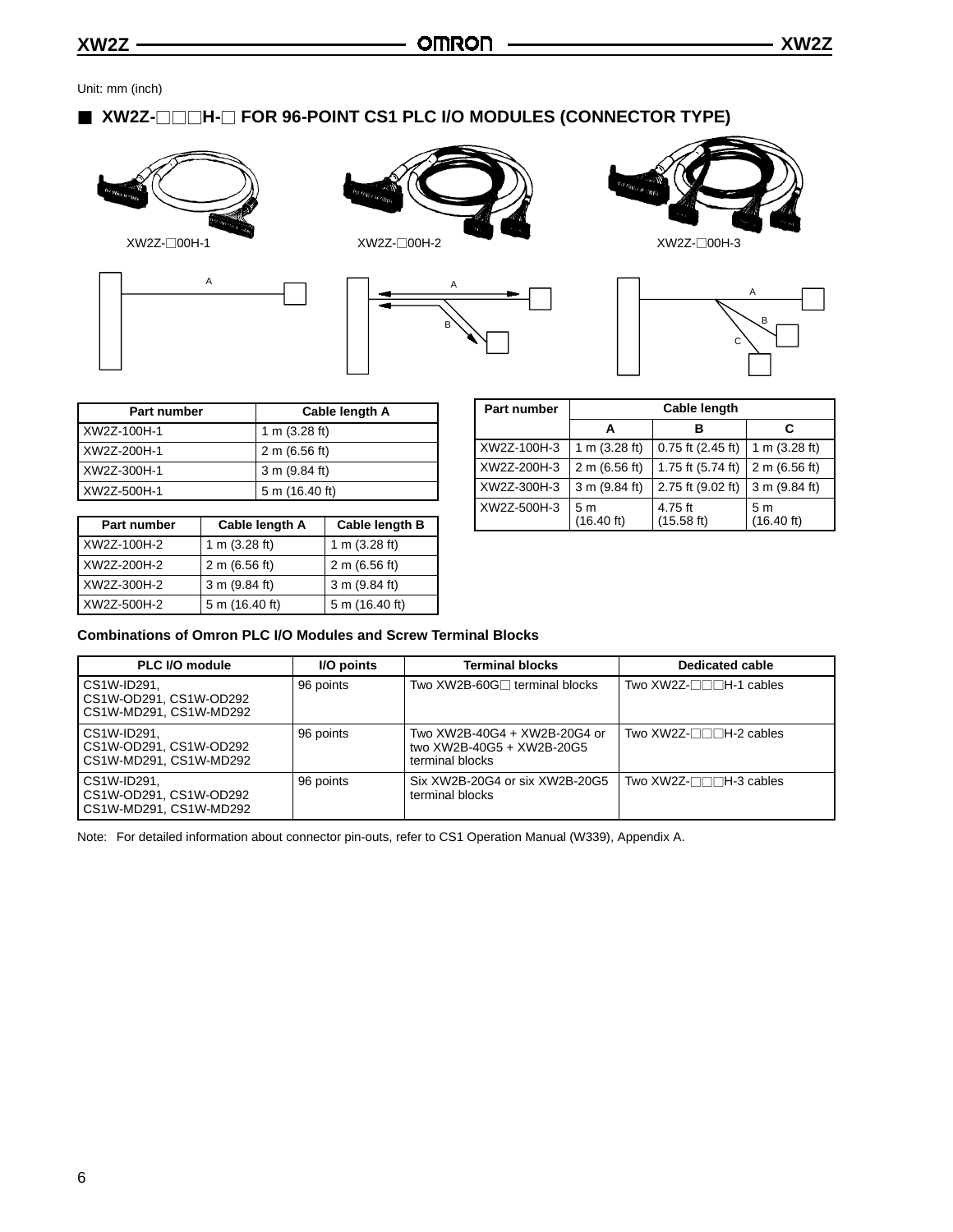Unit: mm (inch)

### ■ XW2Z-**<b>PPH-**POR 96-POINT CS1 PLC I/O MODULES (CONNECTOR TYPE)







| <b>Part number</b> | Cable length A          |  |
|--------------------|-------------------------|--|
| XW2Z-100H-1        | 1 m $(3.28 \text{ ft})$ |  |
| XW2Z-200H-1        | 2 m $(6.56$ ft)         |  |
| XW2Z-300H-1        | 3 m (9.84 ft)           |  |
| XW2Z-500H-1        | 5 m (16.40 ft)          |  |

| <b>Part number</b> | Cable length A          | Cable length B          |
|--------------------|-------------------------|-------------------------|
| XW2Z-100H-2        | 1 m $(3.28 \text{ ft})$ | 1 m $(3.28 \text{ ft})$ |
| XW2Z-200H-2        | 2 m (6.56 ft)           | 2 m $(6.56$ ft)         |
| XW2Z-300H-2        | 3 m (9.84 ft)           | 3 m (9.84 ft)           |
| XW2Z-500H-2        | 5 m (16.40 ft)          | 5 m (16.40 ft)          |

| <b>Part number</b> | <b>Cable length</b>          |                       |                                        |
|--------------------|------------------------------|-----------------------|----------------------------------------|
|                    |                              | в                     |                                        |
| XW2Z-100H-3        | 1 m $(3.28 \text{ ft})$      | $0.75$ ft (2.45 ft)   | 1 m $(3.28 \text{ ft})$                |
| XW2Z-200H-3        | 2 m (6.56 ft)                | 1.75 ft (5.74 ft)     | 2 m (6.56 ft)                          |
| XW2Z-300H-3        | 3 m (9.84 ft)                | 2.75 ft (9.02 ft)     | 3 m (9.84 ft)                          |
| XW2Z-500H-3        | 5 <sub>m</sub><br>(16.40 ft) | 4.75 ft<br>(15.58 ft) | 5 <sub>m</sub><br>$(16.40 \text{ ft})$ |

#### **Combinations of Omron PLC I/O Modules and Screw Terminal Blocks**

| <b>PLC I/O module</b>                                           | I/O points | <b>Terminal blocks</b>                                                       | <b>Dedicated cable</b> |
|-----------------------------------------------------------------|------------|------------------------------------------------------------------------------|------------------------|
| CS1W-ID291.<br>CS1W-OD291, CS1W-OD292<br>CS1W-MD291, CS1W-MD292 | 96 points  | Two XW2B-60G□ terminal blocks                                                | Two XW2Z-□□□H-1 cables |
| CS1W-ID291.<br>CS1W-OD291, CS1W-OD292<br>CS1W-MD291, CS1W-MD292 | 96 points  | Two XW2B-40G4 + XW2B-20G4 or<br>two XW2B-40G5 + XW2B-20G5<br>terminal blocks | Two XW2Z-□□□H-2 cables |
| CS1W-ID291.<br>CS1W-OD291, CS1W-OD292<br>CS1W-MD291, CS1W-MD292 | 96 points  | Six XW2B-20G4 or six XW2B-20G5<br>terminal blocks                            | Two XW2Z-□□□H-3 cables |

Note: For detailed information about connector pin-outs, refer to CS1 Operation Manual (W339), Appendix A.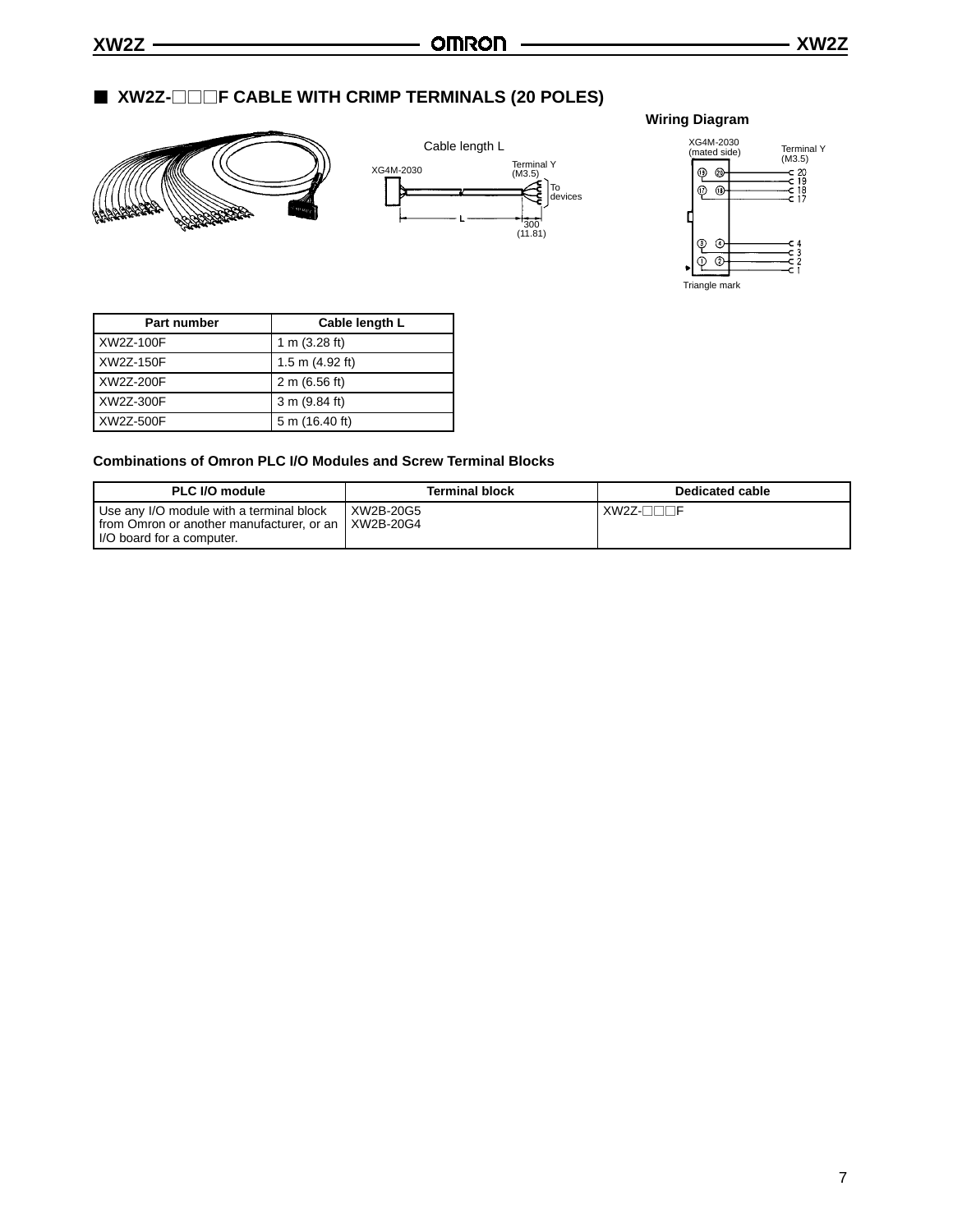### **3** XW2Z-**PPP CABLE WITH CRIMP TERMINALS (20 POLES)**





#### **Wiring Diagram**



| Part number | Cable length L            |
|-------------|---------------------------|
| XW2Z-100F   | 1 m $(3.28 \text{ ft})$   |
| XW2Z-150F   | 1.5 m $(4.92 \text{ ft})$ |
| XW2Z-200F   | 2 m (6.56 ft)             |
| XW2Z-300F   | 3 m (9.84 ft)             |
| XW2Z-500F   | 5 m (16.40 ft)            |

#### **Combinations of Omron PLC I/O Modules and Screw Terminal Blocks**

| PLC I/O module                                                                                                                   | <b>Terminal block</b> | Dedicated cable |
|----------------------------------------------------------------------------------------------------------------------------------|-----------------------|-----------------|
| Use any I/O module with a terminal block<br>from Omron or another manufacturer, or an   XW2B-20G4<br>I I/O board for a computer. | XW2B-20G5             | $XW2Z-TTTTF$    |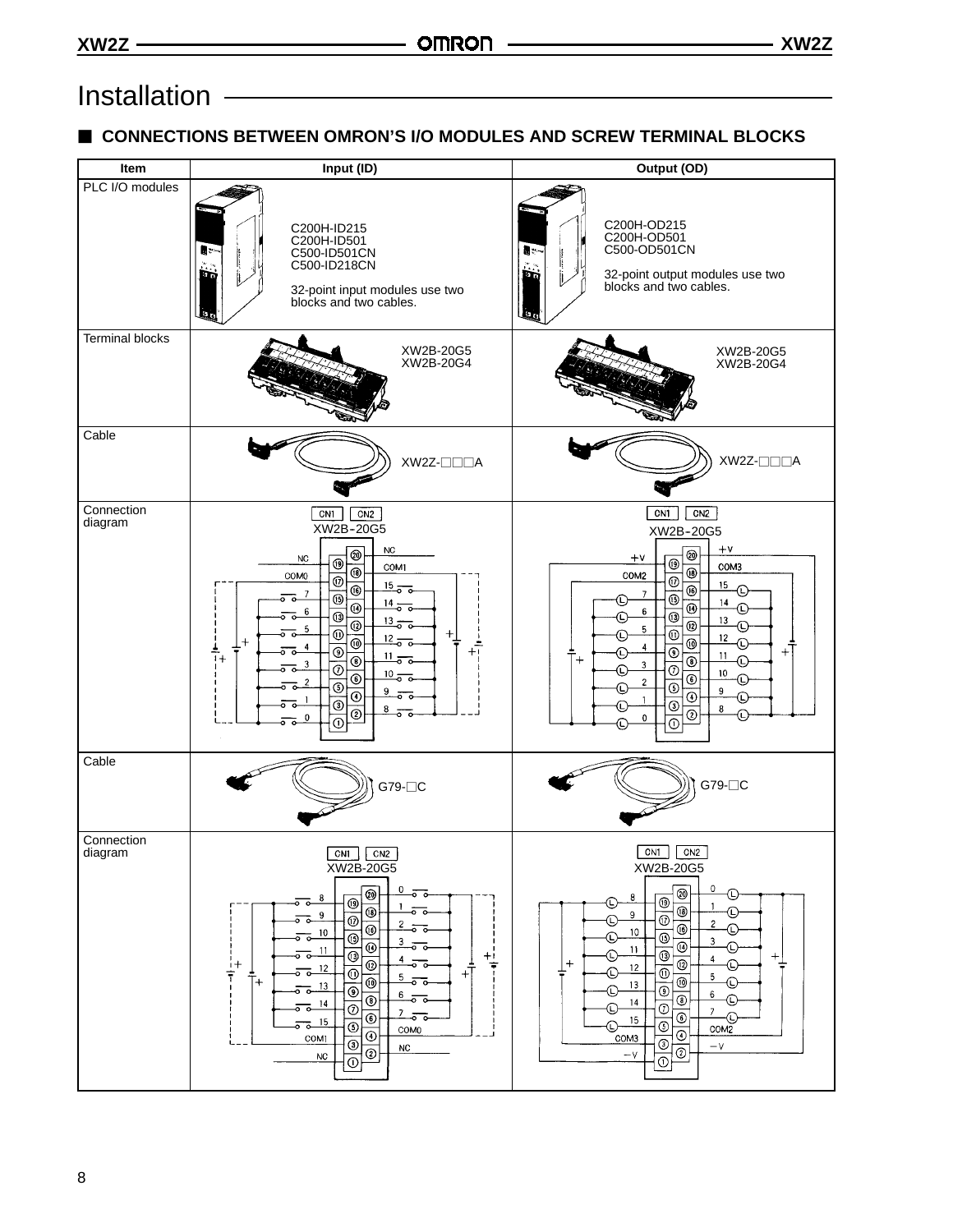# Installation -

#### 3 **CONNECTIONS BETWEEN OMRON'S I/O MODULES AND SCREW TERMINAL BLOCKS**

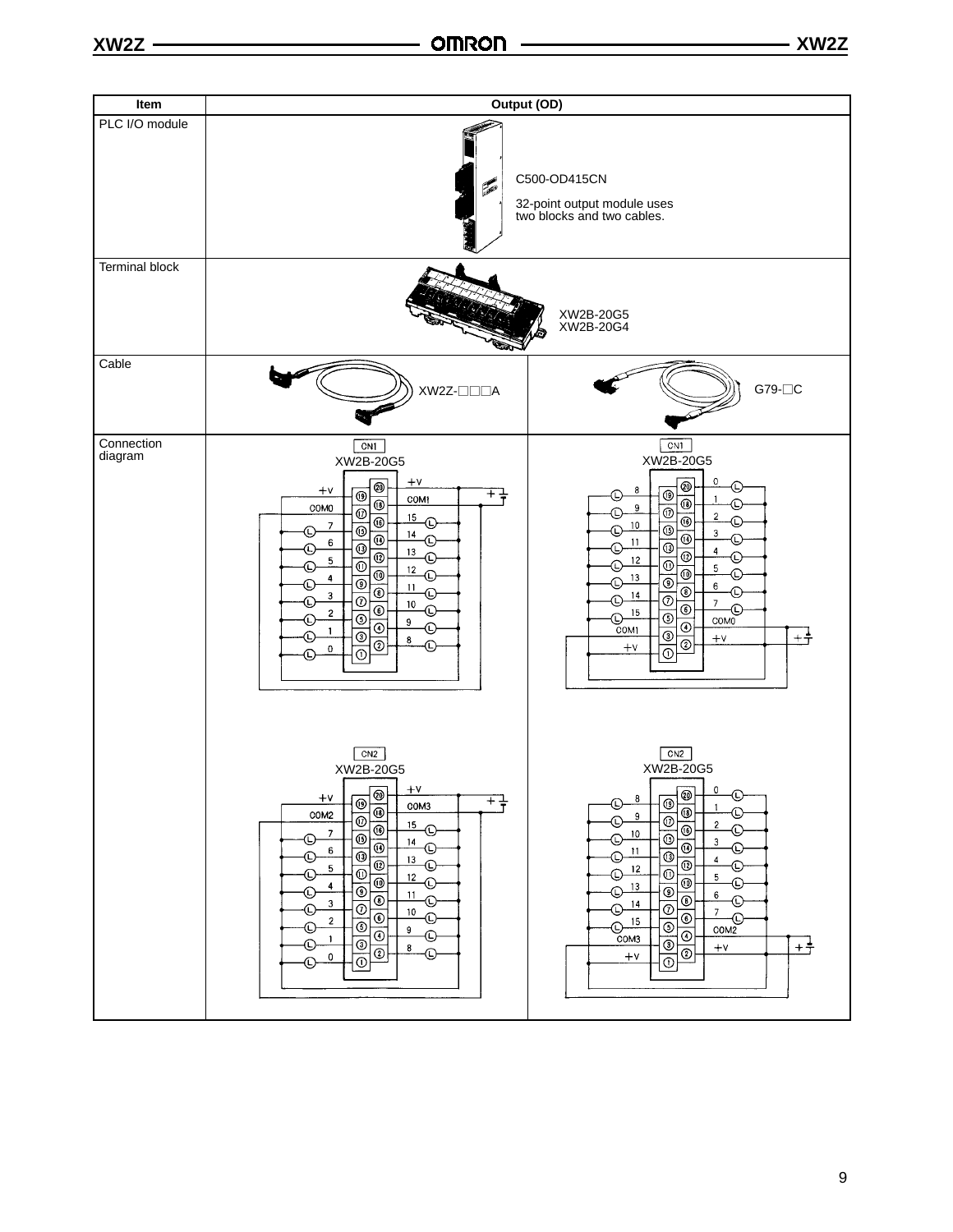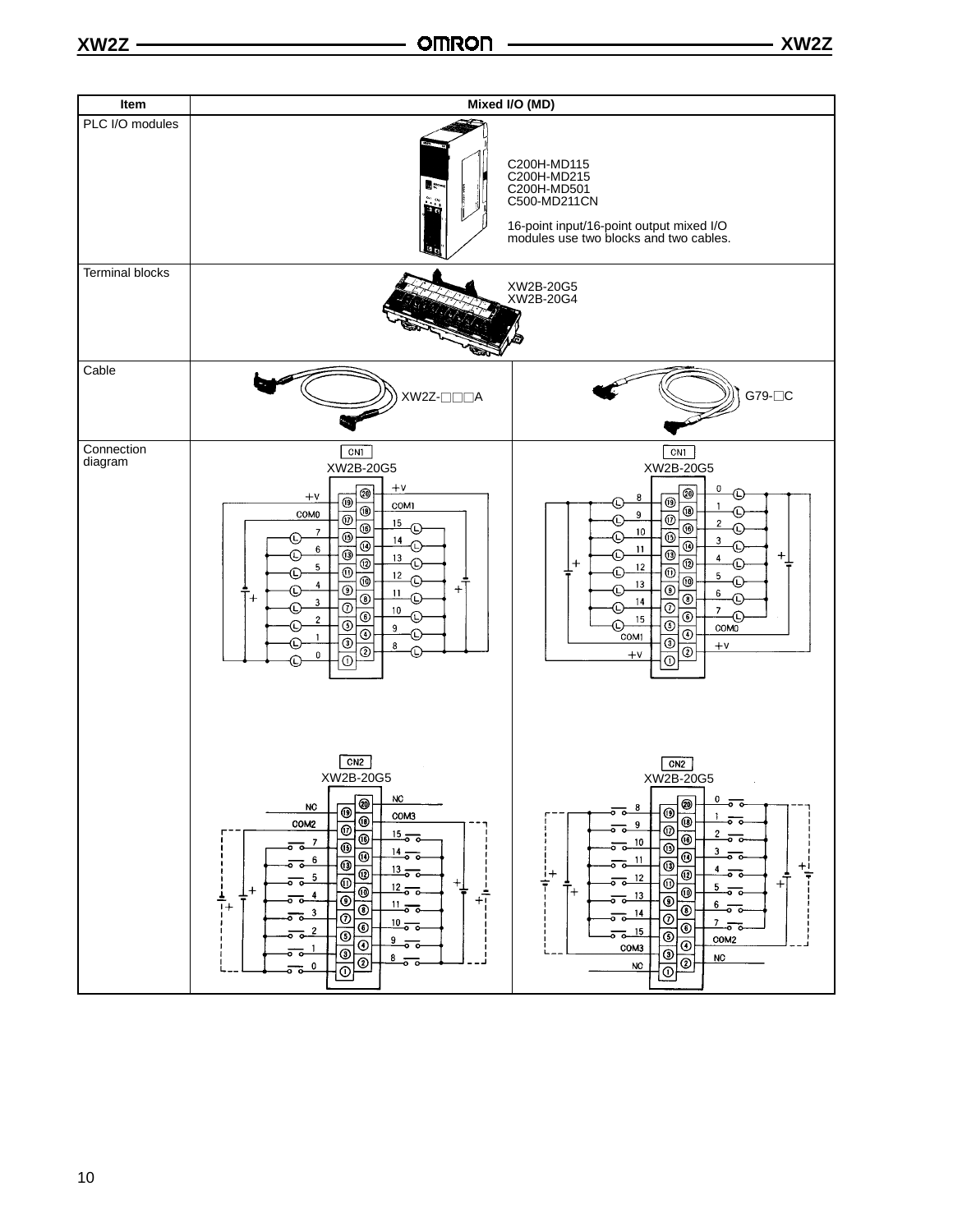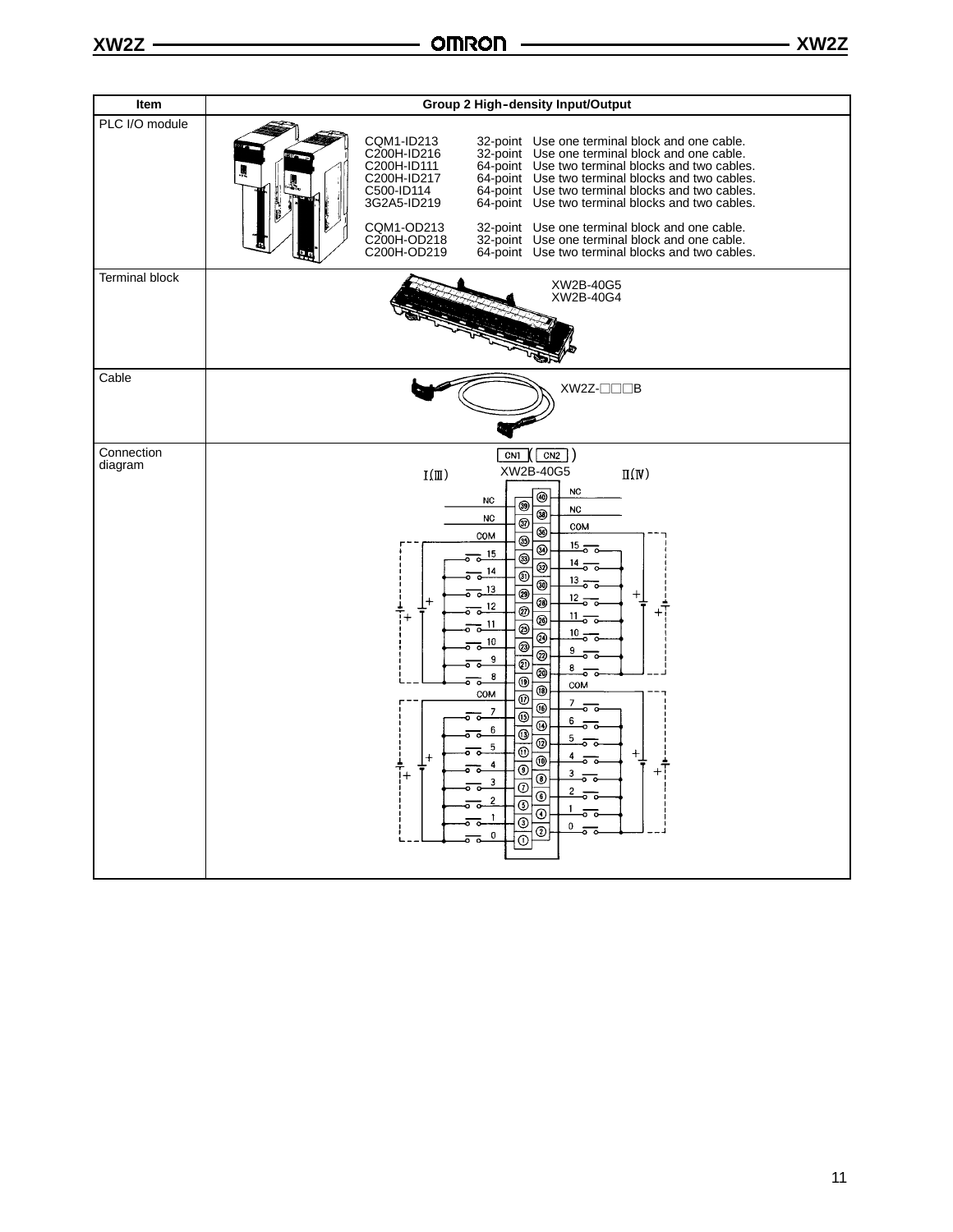**XW2Z XW2Z**

| Item                  | Group 2 High-density Input/Output                                                                                                                                                                                                                                                                                                                                                                                                                                                                                                                                                                                                                                                                                                                                                                                                                                                                                                                                                                           |  |  |  |
|-----------------------|-------------------------------------------------------------------------------------------------------------------------------------------------------------------------------------------------------------------------------------------------------------------------------------------------------------------------------------------------------------------------------------------------------------------------------------------------------------------------------------------------------------------------------------------------------------------------------------------------------------------------------------------------------------------------------------------------------------------------------------------------------------------------------------------------------------------------------------------------------------------------------------------------------------------------------------------------------------------------------------------------------------|--|--|--|
| PLC I/O module        | CQM1-ID213<br>32-point Use one terminal block and one cable.<br>32-point Use one terminal block and one cable.<br>C200H-ID216<br>C200H-ID111<br>64-point Use two terminal blocks and two cables.<br>64-point Use two terminal blocks and two cables.<br>C200H-ID217<br>64-point Use two terminal blocks and two cables.<br>C500-ID114<br>3G2A5-ID219<br>64-point Use two terminal blocks and two cables.<br>CQM1-OD213<br>32-point Use one terminal block and one cable.<br>C200H-OD218<br>32-point Use one terminal block and one cable.<br>C200H-OD219<br>64-point Use two terminal blocks and two cables.                                                                                                                                                                                                                                                                                                                                                                                                |  |  |  |
| <b>Terminal block</b> | XW2B-40G5<br>XW2B-40G4                                                                                                                                                                                                                                                                                                                                                                                                                                                                                                                                                                                                                                                                                                                                                                                                                                                                                                                                                                                      |  |  |  |
| Cable                 | XW2Z-□□□B                                                                                                                                                                                                                                                                                                                                                                                                                                                                                                                                                                                                                                                                                                                                                                                                                                                                                                                                                                                                   |  |  |  |
| Connection<br>diagram | $CN2$ )<br>CN1<br>XW2B-40G5<br>$\Pi(\mathbb{N})$<br>$I(\mathbb{I})$<br>NC<br>$\circledast$<br><b>NC</b><br>◉<br><b>NC</b><br>$\overline{\circ}$<br>NC<br>®<br>COM<br>⊛<br>COM<br>$\overline{\circ}$<br>$\frac{15}{200}$<br>$\overline{\circ}$<br>15<br>$\overline{\circ}$<br>14<br>®<br>14<br>$\overline{\circ}$<br>$\frac{13}{50}$<br>◉<br>◉<br>12<br>◉<br>12<br>$\overline{\circ}$<br>11<br>⊛<br>$\overline{11}$<br>$\overline{\circ}$<br>10<br>⊛<br>10<br>◙<br>$\overline{\circ}$<br>≂<br>9<br>$\overline{\circ}$<br>8<br>⊚<br>≂<br>8<br>$\overline{\circ}$<br>್<br>COM<br>$^{\circ}$<br>COM<br>$\overline{\circ}$<br>7<br>$\overline{\circ}$<br>7<br>$\overline{\circ}$<br>6<br>$^{\circ}$<br>6<br>$\overline{\circ}$<br>5<br>$^{\circ}$<br>5<br>$\overline{\odot}$<br>$\ddot{}$<br>$\overline{\circ}$<br>4<br>$\overline{\circ}$<br>$+$<br>$\circledast$<br>3<br>$\odot$<br>◉<br>$\overline{\circ}$<br>$\overline{\odot}$<br>$\overline{\circ}$<br>0<br>$\overline{②}$<br>ភ<br>0<br>$\odot$<br>$\circ$ |  |  |  |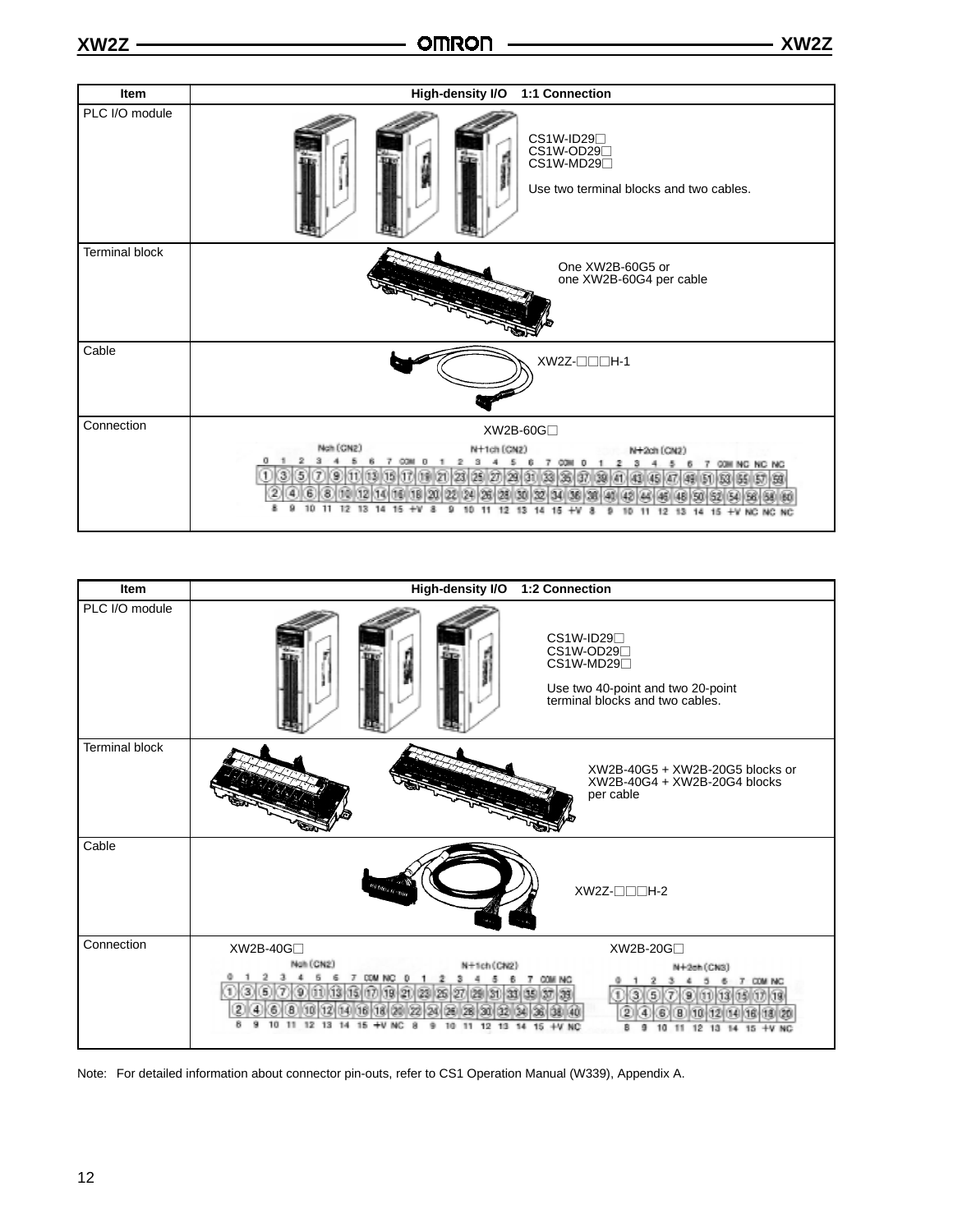| Item                  | High-density I/O<br>1:1 Connection                                                                                                                                                                                                            |
|-----------------------|-----------------------------------------------------------------------------------------------------------------------------------------------------------------------------------------------------------------------------------------------|
| PLC I/O module        | CS1W-ID29<br>CS1W-OD29<br>CS1W-MD29<br>Use two terminal blocks and two cables.                                                                                                                                                                |
| <b>Terminal block</b> | One XW2B-60G5 or<br>one XW2B-60G4 per cable                                                                                                                                                                                                   |
| Cable                 | XW2Z-□□□H-1                                                                                                                                                                                                                                   |
| Connection            | XW2B-60G□<br>Non [CN2]<br>N+1ch (CN2)<br>N+2ch (CN2)<br><b>COM</b><br>NO NO NO<br>з<br>9,<br>cal ar<br>63<br>5.<br>ĠŚ.<br>27<br>35<br>23<br>39<br>43 46 47<br>37<br>46<br><b>GBQQBQB</b><br>2<br>$\frac{1}{2}$<br>20<br>ØЯ<br>12<br>13.<br>34 |

| <b>Item</b>           | 1:2 Connection<br>High-density I/O                                                                                                                                                                                                                                                                                         |
|-----------------------|----------------------------------------------------------------------------------------------------------------------------------------------------------------------------------------------------------------------------------------------------------------------------------------------------------------------------|
| PLC I/O module        | CS1W-ID29□<br>CS1W-OD29□<br>CS1W-MD29□<br>Use two 40-point and two 20-point<br>terminal blocks and two cables.                                                                                                                                                                                                             |
| <b>Terminal block</b> | XW2B-40G5 + XW2B-20G5 blocks or<br>XW2B-40G4 + XW2B-20G4 blocks<br>per cable                                                                                                                                                                                                                                               |
| Cable                 | XW2Z-□□□H-2                                                                                                                                                                                                                                                                                                                |
| Connection            | XW2B-40G□<br>XW2B-20G□<br>+1ch (CN2)<br>N+3eh (CNS)<br>7 CDM MC<br><b>GOM NO</b><br>COM NG<br>(3) (6) (7)<br>13<br>Ö<br>Űŝ,<br>南南<br>图面面<br>39<br> 26 <br>27.<br>39<br>37<br>9.<br>13<br>6<br>í8.<br>12.<br>26<br>Эđ<br>ÓΦ.<br>(28)<br>2.<br>$\left( \mathbf{B}\right)$<br>4<br>6<br>חוז<br>12<br>10.<br>12.<br>11.<br>-18 |

Note: For detailed information about connector pin-outs, refer to CS1 Operation Manual (W339), Appendix A.